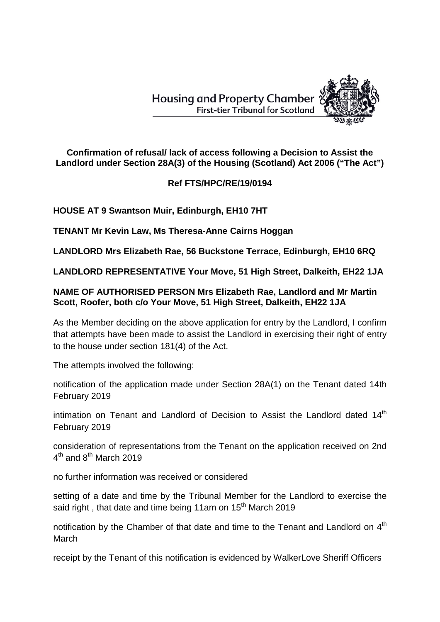**Housing and Property Chamber First-tier Tribunal for Scotland** 



**Confirmation of refusal/ lack of access following a Decision to Assist the Landlord under Section 28A(3) of the Housing (Scotland) Act 2006 ("The Act")**

## **Ref FTS/HPC/RE/19/0194**

**HOUSE AT 9 Swantson Muir, Edinburgh, EH10 7HT**

**TENANT Mr Kevin Law, Ms Theresa-Anne Cairns Hoggan**

**LANDLORD Mrs Elizabeth Rae, 56 Buckstone Terrace, Edinburgh, EH10 6RQ**

**LANDLORD REPRESENTATIVE Your Move, 51 High Street, Dalkeith, EH22 1JA**

## **NAME OF AUTHORISED PERSON Mrs Elizabeth Rae, Landlord and Mr Martin Scott, Roofer, both c/o Your Move, 51 High Street, Dalkeith, EH22 1JA**

As the Member deciding on the above application for entry by the Landlord, I confirm that attempts have been made to assist the Landlord in exercising their right of entry to the house under section 181(4) of the Act.

The attempts involved the following:

notification of the application made under Section 28A(1) on the Tenant dated 14th February 2019

intimation on Tenant and Landlord of Decision to Assist the Landlord dated  $14<sup>th</sup>$ February 2019

consideration of representations from the Tenant on the application received on 2nd  $4<sup>th</sup>$  and  $8<sup>th</sup>$  March 2019

no further information was received or considered

setting of a date and time by the Tribunal Member for the Landlord to exercise the said right, that date and time being 11am on 15<sup>th</sup> March 2019

notification by the Chamber of that date and time to the Tenant and Landlord on  $4<sup>th</sup>$ March

receipt by the Tenant of this notification is evidenced by WalkerLove Sheriff Officers